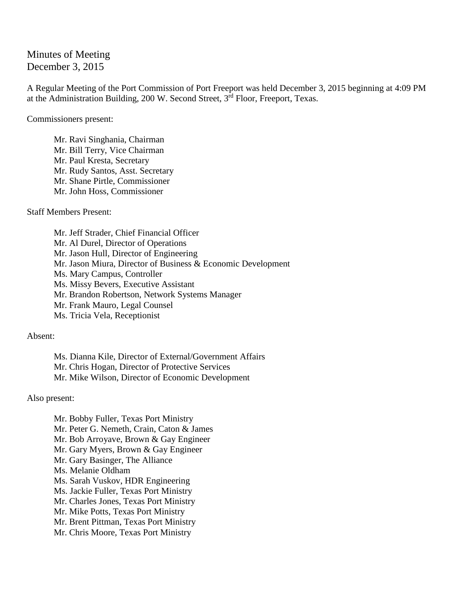Minutes of Meeting December 3, 2015

A Regular Meeting of the Port Commission of Port Freeport was held December 3, 2015 beginning at 4:09 PM at the Administration Building,  $200 \text{ W}$ . Second Street,  $3^{\text{rd}}$  Floor, Freeport, Texas.

Commissioners present:

Mr. Ravi Singhania, Chairman Mr. Bill Terry, Vice Chairman Mr. Paul Kresta, Secretary Mr. Rudy Santos, Asst. Secretary Mr. Shane Pirtle, Commissioner Mr. John Hoss, Commissioner

Staff Members Present:

Mr. Jeff Strader, Chief Financial Officer Mr. Al Durel, Director of Operations Mr. Jason Hull, Director of Engineering Mr. Jason Miura, Director of Business & Economic Development Ms. Mary Campus, Controller Ms. Missy Bevers, Executive Assistant Mr. Brandon Robertson, Network Systems Manager Mr. Frank Mauro, Legal Counsel Ms. Tricia Vela, Receptionist

Absent:

Ms. Dianna Kile, Director of External/Government Affairs Mr. Chris Hogan, Director of Protective Services Mr. Mike Wilson, Director of Economic Development

Also present:

Mr. Bobby Fuller, Texas Port Ministry Mr. Peter G. Nemeth, Crain, Caton & James Mr. Bob Arroyave, Brown & Gay Engineer Mr. Gary Myers, Brown & Gay Engineer Mr. Gary Basinger, The Alliance Ms. Melanie Oldham Ms. Sarah Vuskov, HDR Engineering Ms. Jackie Fuller, Texas Port Ministry Mr. Charles Jones, Texas Port Ministry Mr. Mike Potts, Texas Port Ministry Mr. Brent Pittman, Texas Port Ministry Mr. Chris Moore, Texas Port Ministry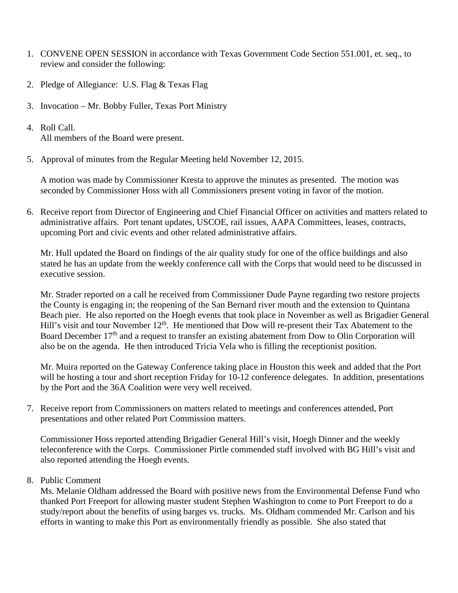- 1. CONVENE OPEN SESSION in accordance with Texas Government Code Section 551.001, et. seq., to review and consider the following:
- 2. Pledge of Allegiance: U.S. Flag & Texas Flag
- 3. Invocation Mr. Bobby Fuller, Texas Port Ministry
- 4. Roll Call. All members of the Board were present.
- 5. Approval of minutes from the Regular Meeting held November 12, 2015.

A motion was made by Commissioner Kresta to approve the minutes as presented. The motion was seconded by Commissioner Hoss with all Commissioners present voting in favor of the motion.

6. Receive report from Director of Engineering and Chief Financial Officer on activities and matters related to administrative affairs. Port tenant updates, USCOE, rail issues, AAPA Committees, leases, contracts, upcoming Port and civic events and other related administrative affairs.

Mr. Hull updated the Board on findings of the air quality study for one of the office buildings and also stated he has an update from the weekly conference call with the Corps that would need to be discussed in executive session.

Mr. Strader reported on a call he received from Commissioner Dude Payne regarding two restore projects the County is engaging in; the reopening of the San Bernard river mouth and the extension to Quintana Beach pier. He also reported on the Hoegh events that took place in November as well as Brigadier General Hill's visit and tour November 12<sup>th</sup>. He mentioned that Dow will re-present their Tax Abatement to the Board December 17<sup>th</sup> and a request to transfer an existing abatement from Dow to Olin Corporation will also be on the agenda. He then introduced Tricia Vela who is filling the receptionist position.

Mr. Muira reported on the Gateway Conference taking place in Houston this week and added that the Port will be hosting a tour and short reception Friday for 10-12 conference delegates. In addition, presentations by the Port and the 36A Coalition were very well received.

7. Receive report from Commissioners on matters related to meetings and conferences attended, Port presentations and other related Port Commission matters.

Commissioner Hoss reported attending Brigadier General Hill's visit, Hoegh Dinner and the weekly teleconference with the Corps. Commissioner Pirtle commended staff involved with BG Hill's visit and also reported attending the Hoegh events.

## 8. Public Comment

Ms. Melanie Oldham addressed the Board with positive news from the Environmental Defense Fund who thanked Port Freeport for allowing master student Stephen Washington to come to Port Freeport to do a study/report about the benefits of using barges vs. trucks. Ms. Oldham commended Mr. Carlson and his efforts in wanting to make this Port as environmentally friendly as possible. She also stated that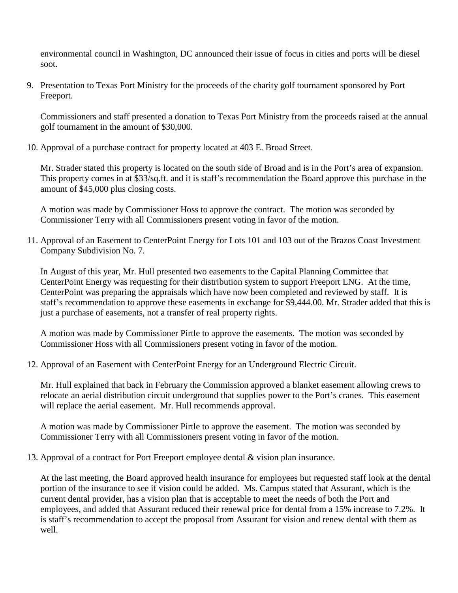environmental council in Washington, DC announced their issue of focus in cities and ports will be diesel soot.

9. Presentation to Texas Port Ministry for the proceeds of the charity golf tournament sponsored by Port Freeport.

Commissioners and staff presented a donation to Texas Port Ministry from the proceeds raised at the annual golf tournament in the amount of \$30,000.

10. Approval of a purchase contract for property located at 403 E. Broad Street.

Mr. Strader stated this property is located on the south side of Broad and is in the Port's area of expansion. This property comes in at \$33/sq.ft. and it is staff's recommendation the Board approve this purchase in the amount of \$45,000 plus closing costs.

A motion was made by Commissioner Hoss to approve the contract. The motion was seconded by Commissioner Terry with all Commissioners present voting in favor of the motion.

11. Approval of an Easement to CenterPoint Energy for Lots 101 and 103 out of the Brazos Coast Investment Company Subdivision No. 7.

In August of this year, Mr. Hull presented two easements to the Capital Planning Committee that CenterPoint Energy was requesting for their distribution system to support Freeport LNG. At the time, CenterPoint was preparing the appraisals which have now been completed and reviewed by staff. It is staff's recommendation to approve these easements in exchange for \$9,444.00. Mr. Strader added that this is just a purchase of easements, not a transfer of real property rights.

A motion was made by Commissioner Pirtle to approve the easements. The motion was seconded by Commissioner Hoss with all Commissioners present voting in favor of the motion.

12. Approval of an Easement with CenterPoint Energy for an Underground Electric Circuit.

Mr. Hull explained that back in February the Commission approved a blanket easement allowing crews to relocate an aerial distribution circuit underground that supplies power to the Port's cranes. This easement will replace the aerial easement. Mr. Hull recommends approval.

A motion was made by Commissioner Pirtle to approve the easement. The motion was seconded by Commissioner Terry with all Commissioners present voting in favor of the motion.

13. Approval of a contract for Port Freeport employee dental & vision plan insurance.

At the last meeting, the Board approved health insurance for employees but requested staff look at the dental portion of the insurance to see if vision could be added. Ms. Campus stated that Assurant, which is the current dental provider, has a vision plan that is acceptable to meet the needs of both the Port and employees, and added that Assurant reduced their renewal price for dental from a 15% increase to 7.2%. It is staff's recommendation to accept the proposal from Assurant for vision and renew dental with them as well.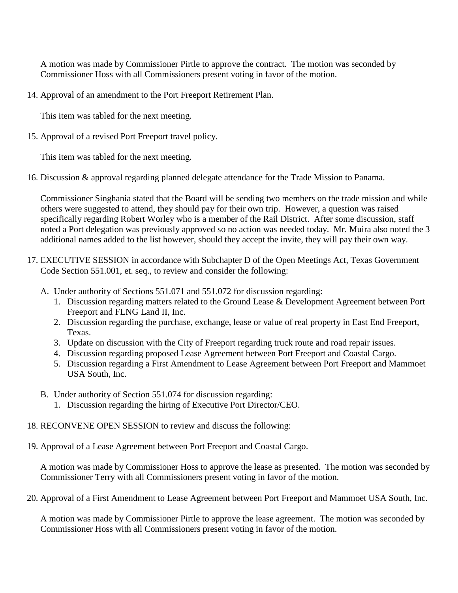A motion was made by Commissioner Pirtle to approve the contract. The motion was seconded by Commissioner Hoss with all Commissioners present voting in favor of the motion.

14. Approval of an amendment to the Port Freeport Retirement Plan.

This item was tabled for the next meeting.

15. Approval of a revised Port Freeport travel policy.

This item was tabled for the next meeting.

16. Discussion & approval regarding planned delegate attendance for the Trade Mission to Panama.

Commissioner Singhania stated that the Board will be sending two members on the trade mission and while others were suggested to attend, they should pay for their own trip. However, a question was raised specifically regarding Robert Worley who is a member of the Rail District. After some discussion, staff noted a Port delegation was previously approved so no action was needed today. Mr. Muira also noted the 3 additional names added to the list however, should they accept the invite, they will pay their own way.

- 17. EXECUTIVE SESSION in accordance with Subchapter D of the Open Meetings Act, Texas Government Code Section 551.001, et. seq., to review and consider the following:
	- A. Under authority of Sections 551.071 and 551.072 for discussion regarding:
		- 1. Discussion regarding matters related to the Ground Lease & Development Agreement between Port Freeport and FLNG Land II, Inc.
		- 2. Discussion regarding the purchase, exchange, lease or value of real property in East End Freeport, Texas.
		- 3. Update on discussion with the City of Freeport regarding truck route and road repair issues.
		- 4. Discussion regarding proposed Lease Agreement between Port Freeport and Coastal Cargo.
		- 5. Discussion regarding a First Amendment to Lease Agreement between Port Freeport and Mammoet USA South, Inc.
	- B. Under authority of Section 551.074 for discussion regarding:
		- 1. Discussion regarding the hiring of Executive Port Director/CEO.
- 18. RECONVENE OPEN SESSION to review and discuss the following:
- 19. Approval of a Lease Agreement between Port Freeport and Coastal Cargo.

A motion was made by Commissioner Hoss to approve the lease as presented. The motion was seconded by Commissioner Terry with all Commissioners present voting in favor of the motion.

20. Approval of a First Amendment to Lease Agreement between Port Freeport and Mammoet USA South, Inc.

A motion was made by Commissioner Pirtle to approve the lease agreement. The motion was seconded by Commissioner Hoss with all Commissioners present voting in favor of the motion.